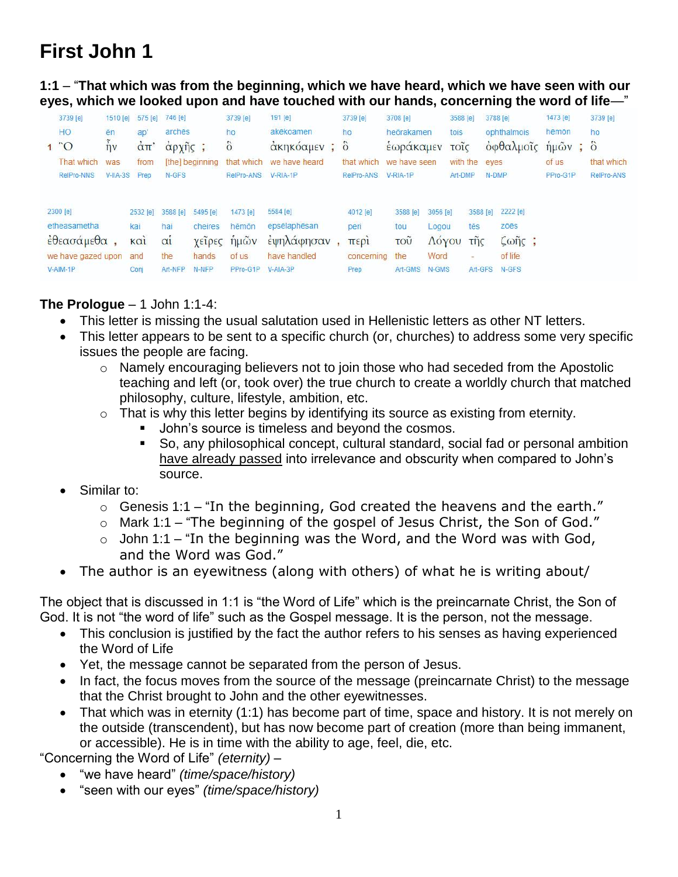# **First John 1**

**1:1** – "**That which was from the beginning, which we have heard, which we have seen with our eyes, which we looked upon and have touched with our hands, concerning the word of life**—"

| 3739 [e]<br>HO.<br>$1^{\circ}$ O<br>That which<br>RelPro-NNS             | 1510 [e]<br>ēn<br>$\tilde{h}$<br>was<br>V-IIA-3S Prep | ap<br>$\dot{\alpha}$ $\pi$<br>from            | 575 [e] 746 [e]<br>arches<br>$\alpha$ $\rho$ $\chi$ $\eta$ $\zeta$ $\zeta$<br>N-GFS | [the] beginning                       | 3739 [e]<br>ho<br>$\ddot{\text{o}}$<br>RelPro-ANS     | 191 [e]<br>akēkoamen<br>άκηκόαμεν; ὃ<br>that which we have heard<br>V-RIA-1P | 3739 [e]<br>ho<br>that which we have seen<br>RelPro-ANS V-RIA-1P | 3708 [e]<br>heörakamen<br>εωρακαμεν                   |                                             | 3588 [e]<br>tois<br>τοΐς<br>with the<br>Art-DMP | eves                                                   | 3788 [e]<br>ophthalmois<br>οφθαλμοΐς<br>N-DMP                | 1473 [e]<br>hēmōn<br>$\hat{\eta}$ μ $\tilde{\omega}$ ν;<br>of us<br>PPro-G1P | 3739 [e]<br>ho<br>$\ddot{\circ}$<br>that which<br>RelPro-ANS |
|--------------------------------------------------------------------------|-------------------------------------------------------|-----------------------------------------------|-------------------------------------------------------------------------------------|---------------------------------------|-------------------------------------------------------|------------------------------------------------------------------------------|------------------------------------------------------------------|-------------------------------------------------------|---------------------------------------------|-------------------------------------------------|--------------------------------------------------------|--------------------------------------------------------------|------------------------------------------------------------------------------|--------------------------------------------------------------|
| 2300 [e]<br>etheasametha<br>έθεασάμεθα<br>we have gazed upon<br>V-AIM-1P |                                                       | 2532 [e]<br>kai<br>$k\alpha i$<br>and<br>Coni | 3588 [e]<br>hai<br>$\alpha$ <sub>1</sub><br>the<br>Art-NFP                          | 5495 [e]<br>cheires<br>hands<br>N-NFP | 1473 [e]<br>hēmōn<br>χείρες ήμών<br>of us<br>PPro-G1P | 5584 [e]<br>epsēlaphēsan<br>έψηλάφησαν<br>have handled<br>V-AIA-3P           | 4012 [e]<br>peri<br>περί<br>concerning<br>Prep                   | 3588 [e]<br>tou<br>$\overline{100}$<br>the<br>Art-GMS | 3056 [e]<br>Logou<br>Λόγου<br>Word<br>N-GMS |                                                 | 3588 [e]<br>tēs<br>$τ\tilde{\eta}$ ς<br>$=$<br>Art-GFS | 2222 [e]<br>zõēs<br>$\zeta$ on $\zeta$ ;<br>of life<br>N-GFS |                                                                              |                                                              |

## **The Prologue** – 1 John 1:1-4:

- This letter is missing the usual salutation used in Hellenistic letters as other NT letters.
- This letter appears to be sent to a specific church (or, churches) to address some very specific issues the people are facing.
	- o Namely encouraging believers not to join those who had seceded from the Apostolic teaching and left (or, took over) the true church to create a worldly church that matched philosophy, culture, lifestyle, ambition, etc.
	- $\circ$  That is why this letter begins by identifying its source as existing from eternity.
		- John's source is timeless and beyond the cosmos.
		- So, any philosophical concept, cultural standard, social fad or personal ambition have already passed into irrelevance and obscurity when compared to John's source.
- Similar to:
	- $\circ$  Genesis 1:1 "In the beginning, God created the heavens and the earth."
	- o Mark 1:1 "The beginning of the gospel of Jesus Christ, the Son of God."
	- $\circ$  John 1:1 "In the beginning was the Word, and the Word was with God, and the Word was God."
- The author is an eyewitness (along with others) of what he is writing about/

The object that is discussed in 1:1 is "the Word of Life" which is the preincarnate Christ, the Son of God. It is not "the word of life" such as the Gospel message. It is the person, not the message.

- This conclusion is justified by the fact the author refers to his senses as having experienced the Word of Life
- Yet, the message cannot be separated from the person of Jesus.
- In fact, the focus moves from the source of the message (preincarnate Christ) to the message that the Christ brought to John and the other eyewitnesses.
- That which was in eternity (1:1) has become part of time, space and history. It is not merely on the outside (transcendent), but has now become part of creation (more than being immanent, or accessible). He is in time with the ability to age, feel, die, etc.

"Concerning the Word of Life" *(eternity)* –

- "we have heard" *(time/space/history)*
- "seen with our eyes" *(time/space/history)*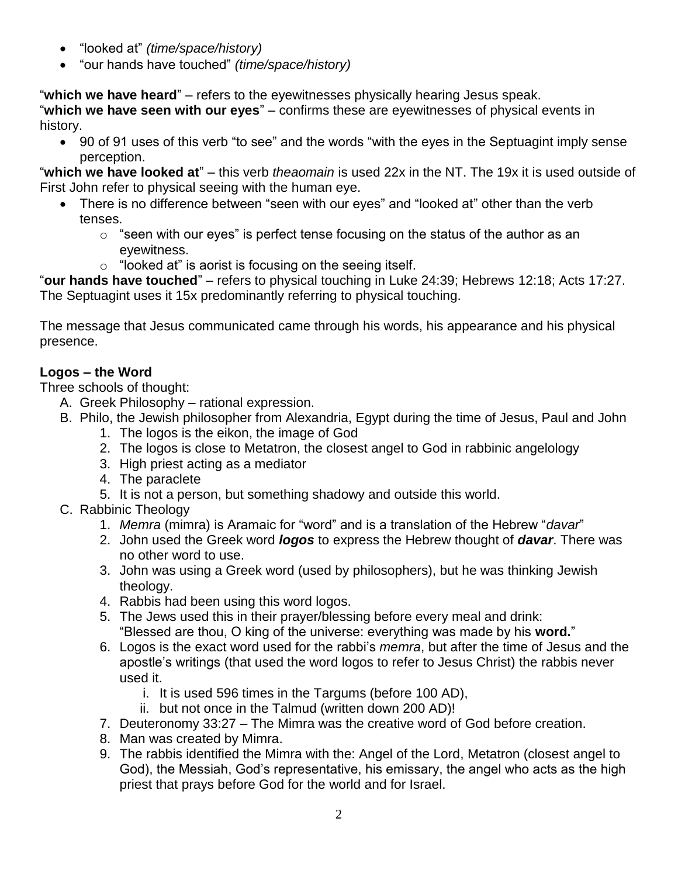- "looked at" *(time/space/history)*
- "our hands have touched" *(time/space/history)*

"**which we have heard**" – refers to the eyewitnesses physically hearing Jesus speak.

"**which we have seen with our eyes**" – confirms these are eyewitnesses of physical events in history.

 90 of 91 uses of this verb "to see" and the words "with the eyes in the Septuagint imply sense perception.

"**which we have looked at**" – this verb *theaomain* is used 22x in the NT. The 19x it is used outside of First John refer to physical seeing with the human eye.

- There is no difference between "seen with our eyes" and "looked at" other than the verb tenses.
	- $\circ$  "seen with our eyes" is perfect tense focusing on the status of the author as an eyewitness.
	- $\circ$  "looked at" is aorist is focusing on the seeing itself.

"**our hands have touched**" – refers to physical touching in Luke 24:39; Hebrews 12:18; Acts 17:27. The Septuagint uses it 15x predominantly referring to physical touching.

The message that Jesus communicated came through his words, his appearance and his physical presence.

# **Logos – the Word**

Three schools of thought:

- A. Greek Philosophy rational expression.
- B. Philo, the Jewish philosopher from Alexandria, Egypt during the time of Jesus, Paul and John 1. The logos is the eikon, the image of God
	- 2. The logos is close to Metatron, the closest angel to God in rabbinic angelology
	- 3. High priest acting as a mediator
	- 4. The paraclete
	- 5. It is not a person, but something shadowy and outside this world.
- C. Rabbinic Theology
	- 1. *Memra* (mimra) is Aramaic for "word" and is a translation of the Hebrew "*davar*"
	- 2. John used the Greek word *logos* to express the Hebrew thought of *davar*. There was no other word to use.
	- 3. John was using a Greek word (used by philosophers), but he was thinking Jewish theology.
	- 4. Rabbis had been using this word logos.
	- 5. The Jews used this in their prayer/blessing before every meal and drink: "Blessed are thou, O king of the universe: everything was made by his **word.**"
	- 6. Logos is the exact word used for the rabbi's *memra*, but after the time of Jesus and the apostle's writings (that used the word logos to refer to Jesus Christ) the rabbis never used it.
		- i. It is used 596 times in the Targums (before 100 AD),
		- ii. but not once in the Talmud (written down 200 AD)!
	- 7. Deuteronomy 33:27 The Mimra was the creative word of God before creation.
	- 8. Man was created by Mimra.
	- 9. The rabbis identified the Mimra with the: Angel of the Lord, Metatron (closest angel to God), the Messiah, God's representative, his emissary, the angel who acts as the high priest that prays before God for the world and for Israel.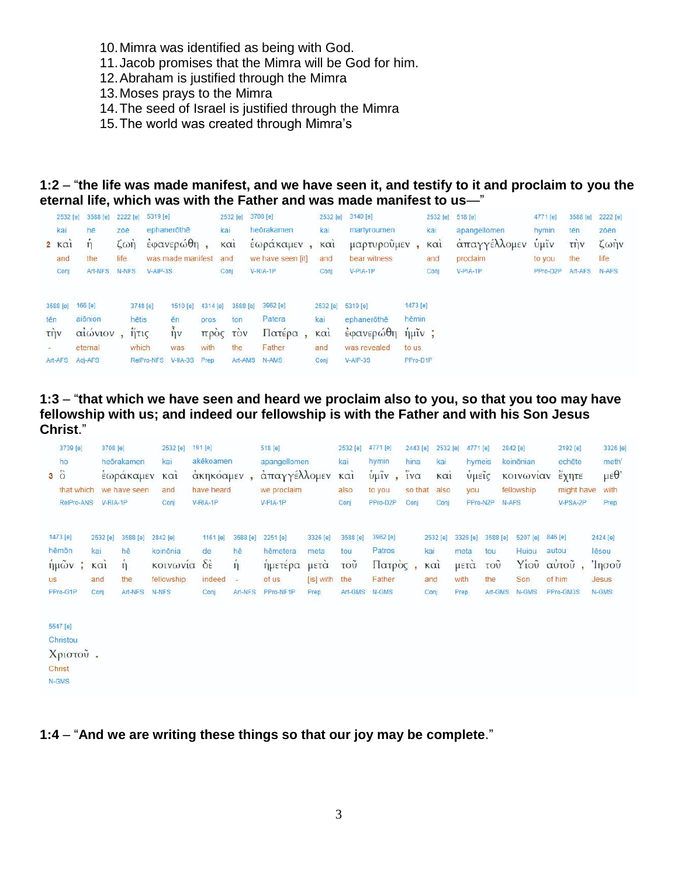- 10.Mimra was identified as being with God.
- 11.Jacob promises that the Mimra will be God for him.
- 12.Abraham is justified through the Mimra
- 13.Moses prays to the Mimra
- 14.The seed of Israel is justified through the Mimra
- 15.The world was created through Mimra's

#### **1:2** – "**the life was made manifest, and we have seen it, and testify to it and proclaim to you the eternal life, which was with the Father and was made manifest to us**—"

| 2532 [e]<br>kai<br>2 KCl<br>and<br>Conj | 3588 [e]<br>hē<br>the<br>Art-NFS N-NFS                      | zōē<br>$L\omega n$<br>life | 5319 [e]<br>2222 [e]<br>$V-AIP-3S$                               | ephanerothe<br>$\frac{2}{3}$ εφανερώθη,<br>was made manifest and |                          | kai<br>$K\alpha$<br>Conj           | 2532 [e] 3708 [e]<br>heōrakamen<br>έωράκαμεν,<br>we have seen [it]<br>$V-RIA-1P$ | kai<br>KCl <sub>1</sub><br>and<br>Conj | 2532 [e] 3140 [e]<br>martyroumen<br>μαρτυροὖμεν<br>bear witness<br>V-PIA-1P |                                        | 2532 [e] 518 [e]<br>kai<br>KCl <sub>1</sub><br>and<br>Conj | apangellomen<br>άπαγγέλλομεν υμίν<br>proclaim<br>V-PIA-1P | 4771 [e]<br>hymin<br>to you<br>PPro-D2P | 3588 [e]<br>tēn<br>$T\eta V$<br>the<br>Art-AFS | 2222 [e]<br>zōēn<br>$\zeta \omega \eta v$<br>life<br>N-AFS |
|-----------------------------------------|-------------------------------------------------------------|----------------------------|------------------------------------------------------------------|------------------------------------------------------------------|--------------------------|------------------------------------|----------------------------------------------------------------------------------|----------------------------------------|-----------------------------------------------------------------------------|----------------------------------------|------------------------------------------------------------|-----------------------------------------------------------|-----------------------------------------|------------------------------------------------|------------------------------------------------------------|
| 3588 [e]<br>tēn<br><b>TIJV</b>          | 166 [e]<br>aiōnion<br>αιωνιον<br>eternal<br>Art-AFS Adj-AFS |                            | 3748 [e]<br>hētis<br>$n\pi$<br>which<br>RelPro-NFS V-IIA-3S Prep | 1510 [e]<br>ēn<br>$\eta v$<br>was                                | 4314 [e]<br>pros<br>with | 3588 [e]<br>ton<br>προς τον<br>the | 3962 [e]<br>Patera<br>Πατέρα,<br>Father<br>Art-AMS N-AMS                         | 2532 [e]<br>kai<br>KCI<br>and<br>Conj  | 5319 [e]<br>ephanerothe<br>έφανερώθη ήμιν;<br>was revealed<br>$V-AIP-3S$    | 1473 [e]<br>hēmin<br>to us<br>PPro-D1P |                                                            |                                                           |                                         |                                                |                                                            |

**1:3** – "**that which we have seen and heard we proclaim also to you, so that you too may have fellowship with us; and indeed our fellowship is with the Father and with his Son Jesus Christ**."

|             | 3739 [e]                  |                         | 3708 [e] |                     | 2532 [e]                         | 191 [e]                                   |                                | 518 [e]                         |                          | 2532 [e]                      | 4771 [e]                     | 2443 [e] |                        | 2532 [e]         | 4771 [e]                 |                               | 2842 [e]                  | 2192 [e]                  | 3326 [e]                   |
|-------------|---------------------------|-------------------------|----------|---------------------|----------------------------------|-------------------------------------------|--------------------------------|---------------------------------|--------------------------|-------------------------------|------------------------------|----------|------------------------|------------------|--------------------------|-------------------------------|---------------------------|---------------------------|----------------------------|
|             | ho                        |                         |          | heörakamen          | kai                              | akēkoamen                                 |                                | apangellomen                    |                          | kai                           | hymin                        | hina     |                        | kai              | hymeis                   |                               | koinōnian                 | echēte                    | meth'                      |
| $3\ddot{o}$ |                           |                         |          | εωρακαμεν           | KCl1                             | ακηκοαμεν                                 |                                | απαγγέλλομεν                    |                          | $K\alpha$ <sub>1</sub>        | $\frac{1}{2}$ $\frac{1}{2}$  | iνα      |                        | KCl <sub>1</sub> | <b>VHEIC</b>             |                               | κοινωνιαν                 | εχητε                     | $\mu \varepsilon \theta$   |
|             | that which                |                         |          | we have seen        | and                              | have heard                                |                                | we proclaim                     |                          | also                          | to you                       | so that  |                        | also             | you                      |                               | fellowship                | might have                | with                       |
|             | RelPro-ANS                |                         | V-RIA-1P |                     | Conj                             | V-RIA-1P                                  |                                | V-PIA-1P                        |                          | Conj                          | PPro-D2P                     | Conj     |                        | Conj             | PPro-N2P                 |                               | N-AFS                     | V-PSA-2P                  | Prep                       |
|             | 1473 [e]<br>hēmōn<br>ήμων | kai<br>KCl <sub>1</sub> | 2532 [e] | 3588 [e]<br>hē<br>n | 2842 [e]<br>koinônia<br>κοινωνια | 1161 [e]<br>de<br>$\delta \dot{\epsilon}$ | 3588 [e]<br>hē<br>$\mathbf{n}$ | 2251 [e]<br>hēmetera<br>ημετερα | 3326 [e]<br>meta<br>μετα | 3588 [e]<br>tou<br><b>TOU</b> | 3962 [e]<br>Patros<br>Πατρος |          | 2532 [e]<br>kai<br>KCI |                  | 3326 [e]<br>meta<br>μετα | 3588 [e]<br>tou<br><b>TOU</b> | 5207 [e]<br>Huiou<br>Yioù | 846 [e]<br>autou<br>αύτου | 2424 [e]<br>lēsou<br>Ίησου |
| <b>US</b>   |                           | and                     |          | the                 | fellowship                       | indeed                                    |                                | of us                           | [is] with the            |                               | Father                       |          | and                    |                  | with                     | the                           | Son                       | of him                    | Jesus                      |
|             | PPro-G1P                  | Conj                    |          | Art-NFS             | N-NFS                            | Conj                                      | Art-NFS                        | PPro-NF1P                       | Prep                     | Art-GMS                       | N-GMS                        |          | Conj                   |                  | Prep                     | Art-GMS                       | N-GMS                     | PPro-GM3S                 | N-GMS                      |
|             |                           |                         |          |                     |                                  |                                           |                                |                                 |                          |                               |                              |          |                        |                  |                          |                               |                           |                           |                            |

5547 [e] Christou Χριστού. Christ N-GMS

#### **1:4** – "**And we are writing these things so that our joy may be complete**."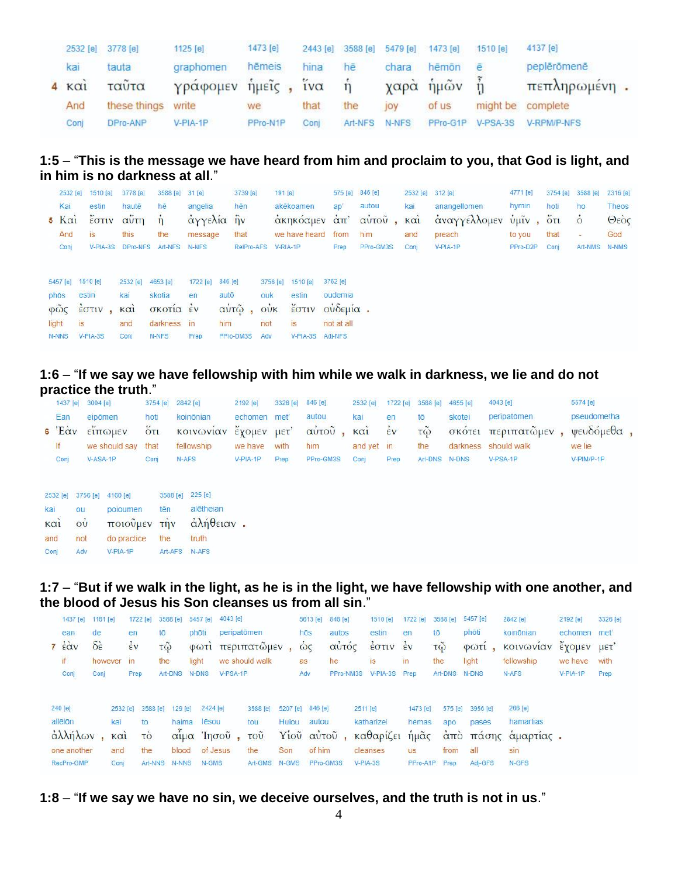|                     | 2532 [e] 3778 [e] | 1125 [e]            | 1473 [e] |      |         | 2443 [e] 3588 [e] 5479 [e] 1473 [e] |             | 1510 [e]   | 4137 [e]          |  |
|---------------------|-------------------|---------------------|----------|------|---------|-------------------------------------|-------------|------------|-------------------|--|
| kai                 | tauta             | graphomen           | hēmeis   | hina | hē      | chara                               | hēmōn       | ē          | peplērōmenē       |  |
| $4 \times \alpha i$ | ταῦτα             | γράφομεν ήμεῖς, ἵνα |          |      | $\eta$  |                                     | χαρὰ ἡμῶν ἦ |            | πεπληρωμένη.      |  |
| And                 | these things      | write               | we       | that | the     | <b>JOV</b>                          | of us       |            | might be complete |  |
| Conj                | DPro-ANP          | $V-PIA-1P$          | PPro-N1P | Coni | Art-NFS | N-NFS                               | PPro-G1P    | $V-PSA-3S$ | V-RPM/P-NFS       |  |

## **1:5** – "**This is the message we have heard from him and proclaim to you, that God is light, and in him is no darkness at all**."

|               | 2532 [e]                              | 1510 [e]                                    | 3778 [e]                                            | 3588 [e] 31 [e]                                         |                        | 3739 [e]                                     | 191 [e]                                     |                                                               | 575 [e] 846 [e]                   |                                            |      | 2532 [e] 312 [e]       | 4771 [e] | 3754 [e] | 3588 [e]      | 2316 [e] |
|---------------|---------------------------------------|---------------------------------------------|-----------------------------------------------------|---------------------------------------------------------|------------------------|----------------------------------------------|---------------------------------------------|---------------------------------------------------------------|-----------------------------------|--------------------------------------------|------|------------------------|----------|----------|---------------|----------|
|               | Kai                                   | estin                                       | hautē                                               | hē                                                      | angelia                | hēn                                          |                                             | akēkoamen                                                     | ap'                               | autou                                      | kai  | anangellomen           | hymin    | hoti     | ho            | Theos    |
|               | $5 \text{ K}$ $\alpha$                | έστιν                                       |                                                     |                                                         |                        |                                              |                                             |                                                               |                                   | αύτη ή άγγελία ήν άκηκόαμεν άπ' αύτοῦ, καὶ |      | άναγγέλλομεν ύμιν, ότι |          |          | $\dot{\circ}$ | Θεός     |
|               | And                                   | is.                                         | this                                                | the                                                     | message                | that                                         |                                             | we have heard from                                            |                                   | him                                        | and  | preach                 | to you   | that     | $\frac{1}{2}$ | God      |
|               | Conj                                  |                                             |                                                     | V-PIA-3S DPro-NFS Art-NFS N-NFS                         |                        | RelPro-AFS V-RIA-1P                          |                                             |                                                               | Prep                              | PPro-GM3S                                  | Coni | V-PIA-1P               | PPro-D2P | Coni     | Art-NMS N-NMS |          |
| phōs<br>light | 5457 [e]<br><b>is</b><br><b>N-NNS</b> | 1510 [e]<br>estin<br>φῶς έστιν,<br>V-PIA-3S | 2532 [e]<br>kai<br>$\kappa$ $\alpha$<br>and<br>Conj | 4653 [e]<br>skotia<br>σκοτία έν<br>darkness in<br>N-NFS | 1722 [e]<br>en<br>Prep | 846 [e]<br>autō<br>αὐτῷ,<br>him<br>PPro-DM3S | 3756 [e]<br>ouk<br>$\vec{ow}$<br>not<br>Adv | 1510 [e]<br>estin<br>έστιν οὐδεμία.<br>is<br>V-PIA-3S Adj-NFS | 3762 [e]<br>oudemia<br>not at all |                                            |      |                        |          |          |               |          |

## **1:6** – "**If we say we have fellowship with him while we walk in darkness, we lie and do not practice the truth**."

|                                       | 1437 [e] 3004 [e]                                             |                                                             | 3754 [e]                           | 2842 [e]                                                     | 2192 [e]    | 3326 [e] | 846 [e]   | 2532 [e]   | 1722 [e]           | 3588 [e]               | 4655 [e]      | 4043 [e]    | 5574 [e]    |
|---------------------------------------|---------------------------------------------------------------|-------------------------------------------------------------|------------------------------------|--------------------------------------------------------------|-------------|----------|-----------|------------|--------------------|------------------------|---------------|-------------|-------------|
| Ean                                   |                                                               | eipömen                                                     | hoti                               | koinōnian                                                    | echomen met |          | autou     | kai        | en                 | tō                     | skotei        | peripatômen | pseudometha |
| $6 \text{'}E\alpha v$                 |                                                               | είπωμεν                                                     | $\ddot{\text{o}}$ ti               | κοινωνιαν                                                    | εχομεν μετ' |          | αύτου     | KCl        | $\dot{\epsilon}$ v | $\tilde{\mathfrak{g}}$ | <b>OKOTEL</b> | περιπατώμεν | ψευδόμεθα,  |
| If.                                   |                                                               | we should say                                               | that                               | fellowship                                                   | we have     | with     | him       | and yet in |                    | the                    | darkness      | should walk | we lie      |
| Conj                                  |                                                               | V-ASA-1P                                                    | Conj                               | N-AFS                                                        | V-PIA-1P    | Prep     | PPro-GM3S | Conj       | Prep               | Art-DNS                | N-DNS         | V-PSA-1P    | V-PIM/P-1P  |
| 2532 [e]<br>kai<br>καὶ<br>and<br>Conj | 3756 [e]<br>ou<br>$\overline{\text{O}}\text{U}$<br>not<br>Adv | 4160 [e]<br>poioumen<br>ποιούμεν<br>do practice<br>V-PIA-1P | tēn<br>$T\eta v$<br>the<br>Art-AFS | 3588 [e] 225 [e]<br>alētheian<br>άλήθειαν.<br>truth<br>N-AFS |             |          |           |            |                    |                        |               |             |             |

# **1:7** – "**But if we walk in the light, as he is in the light, we have fellowship with one another, and the blood of Jesus his Son cleanses us from all sin**."

| 1437 [e]                                                   | 1161 [e]                   |                                       | 1722 [e]                               | 3588 [e] |                                    | 5457 [e]                               | 4043 [e]    |                                                      |              | 5613 [e]                                                              | 846 [e]   |          | 1510 [e]                                                             | 1722 [e]                               | 3588 [e]                                | 5457 [e]                            | 2842 [e]                                                    | 2192 [e]     | 3326 [e] |
|------------------------------------------------------------|----------------------------|---------------------------------------|----------------------------------------|----------|------------------------------------|----------------------------------------|-------------|------------------------------------------------------|--------------|-----------------------------------------------------------------------|-----------|----------|----------------------------------------------------------------------|----------------------------------------|-----------------------------------------|-------------------------------------|-------------------------------------------------------------|--------------|----------|
| ean                                                        | de                         |                                       | en                                     | tō       | photi                              |                                        | peripatômen |                                                      |              | hōs                                                                   | autos     |          | estin                                                                | en                                     | tō                                      | phōti                               | koinönian                                                   | echomen met' |          |
| $7 \angle x$                                               | $\delta \dot{\varepsilon}$ |                                       | $\dot{\epsilon}$ v                     | TQ       |                                    | $Q$ $Q$ $T1$                           |             | περιπατώμεν                                          |              | $\omega$                                                              | αὐτός     |          | $\frac{1}{2}$ $\sigma$ $\frac{1}{2}$ $\sigma$ $\frac{1}{2}$ $\sigma$ |                                        | $\tilde{\mathsf{T}}\tilde{\omega}$      | $\varphi \omega \tau i$ ,           | κοινωνιαν                                                   | έχομεν μετ'  |          |
| if                                                         |                            | however in                            |                                        | the      | light                              |                                        |             | we should walk                                       |              | as:                                                                   | he        |          | is                                                                   | in                                     | the                                     | light                               | fellowship                                                  | we have      | with     |
| Conj                                                       | Conj                       |                                       | Prep                                   | Art-DNS  | N-DNS                              |                                        | $V-PSA-1P$  |                                                      |              | Adv                                                                   | PPro-NM3S |          | V-PIA-3S Prep                                                        |                                        | Art-DNS N-DNS                           |                                     | N-AFS                                                       | V-PIA-1P     | Prep     |
| 240 [e]<br>allēlōn<br>άλλήλων<br>one another<br>RecPro-GMP |                            | 2532 [e]<br>kai<br>KQ1<br>and<br>Conj | 3588 [e]<br>to<br>τo<br>the<br>Art-NNS |          | 129 [e]<br>haima<br>blood<br>N-NNS | 2424 [e]<br>lēsou<br>of Jesus<br>N-GMS |             | 3588 [e]<br>tou<br>αίμα Ίησοῦ, τοῦ<br>the<br>Art-GMS | Son<br>N-GMS | 5207 [e] 846 [e]<br>Hujou autou<br>Υίοῦ αὐτοῦ,<br>of him<br>PPro-GM3S |           | 2511 [e] | katharizei<br>καθαρίζει<br>cleanses<br>V-PIA-3S                      | 1473 [e]<br>hēmas<br>ήμᾶς<br><b>US</b> | 575 [e]<br>apo<br>from<br>PPro-A1P Prep | 3956 [e]<br>pasēs<br>all<br>Adj-GFS | 266 [e]<br>hamartias<br>από πάσης αμαρτιας.<br>sin<br>N-GFS |              |          |

**1:8** – "**If we say we have no sin, we deceive ourselves, and the truth is not in us**."